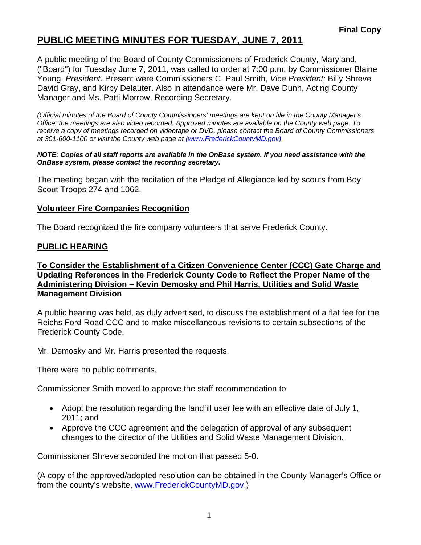# **PUBLIC MEETING MINUTES FOR TUESDAY, JUNE 7, 2011**

A public meeting of the Board of County Commissioners of Frederick County, Maryland, ("Board") for Tuesday June 7, 2011, was called to order at 7:00 p.m. by Commissioner Blaine Young, *President*. Present were Commissioners C. Paul Smith, *Vice President;* Billy Shreve David Gray, and Kirby Delauter. Also in attendance were Mr. Dave Dunn, Acting County Manager and Ms. Patti Morrow, Recording Secretary.

*(Official minutes of the Board of County Commissioners' meetings are kept on file in the County Manager's Office; the meetings are also video recorded. Approved minutes are available on the County web page. To receive a copy of meetings recorded on videotape or DVD, please contact the Board of County Commissioners at 301-600-1100 or visit the County web page at (www.FrederickCountyMD.gov)*

#### *NOTE: Copies of all staff reports are available in the OnBase system. If you need assistance with the OnBase system, please contact the recording secretary.*

The meeting began with the recitation of the Pledge of Allegiance led by scouts from Boy Scout Troops 274 and 1062.

#### **Volunteer Fire Companies Recognition**

The Board recognized the fire company volunteers that serve Frederick County.

#### **PUBLIC HEARING**

#### **To Consider the Establishment of a Citizen Convenience Center (CCC) Gate Charge and Updating References in the Frederick County Code to Reflect the Proper Name of the Administering Division – Kevin Demosky and Phil Harris, Utilities and Solid Waste Management Division**

A public hearing was held, as duly advertised, to discuss the establishment of a flat fee for the Reichs Ford Road CCC and to make miscellaneous revisions to certain subsections of the Frederick County Code.

Mr. Demosky and Mr. Harris presented the requests.

There were no public comments.

Commissioner Smith moved to approve the staff recommendation to:

- Adopt the resolution regarding the landfill user fee with an effective date of July 1, 2011; and
- Approve the CCC agreement and the delegation of approval of any subsequent changes to the director of the Utilities and Solid Waste Management Division.

Commissioner Shreve seconded the motion that passed 5-0.

(A copy of the approved/adopted resolution can be obtained in the County Manager's Office or from the county's website, [www.FrederickCountyMD.gov.](http://www.frederickcountymd.gov/))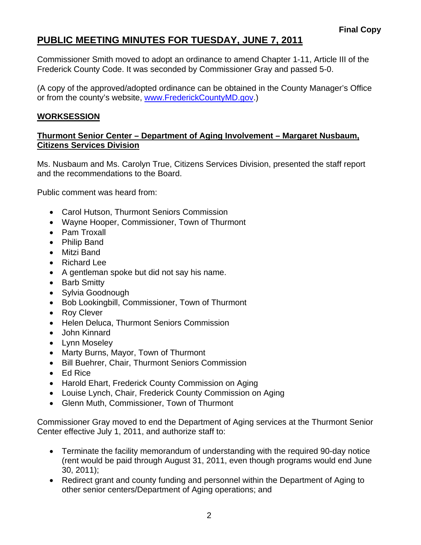# **PUBLIC MEETING MINUTES FOR TUESDAY, JUNE 7, 2011**

Commissioner Smith moved to adopt an ordinance to amend Chapter 1-11, Article III of the Frederick County Code. It was seconded by Commissioner Gray and passed 5-0.

(A copy of the approved/adopted ordinance can be obtained in the County Manager's Office or from the county's website, [www.FrederickCountyMD.gov.](http://www.frederickcountymd.gov/))

## **WORKSESSION**

### **Thurmont Senior Center – Department of Aging Involvement – Margaret Nusbaum, Citizens Services Division**

Ms. Nusbaum and Ms. Carolyn True, Citizens Services Division, presented the staff report and the recommendations to the Board.

Public comment was heard from:

- Carol Hutson, Thurmont Seniors Commission
- Wayne Hooper, Commissioner, Town of Thurmont
- Pam Troxall
- Philip Band
- Mitzi Band
- Richard Lee
- A gentleman spoke but did not say his name.
- Barb Smitty
- Sylvia Goodnough
- Bob Lookingbill, Commissioner, Town of Thurmont
- Roy Clever
- Helen Deluca, Thurmont Seniors Commission
- John Kinnard
- Lynn Moseley
- Marty Burns, Mayor, Town of Thurmont
- Bill Buehrer, Chair, Thurmont Seniors Commission
- Ed Rice
- Harold Ehart, Frederick County Commission on Aging
- Louise Lynch, Chair, Frederick County Commission on Aging
- Glenn Muth, Commissioner, Town of Thurmont

Commissioner Gray moved to end the Department of Aging services at the Thurmont Senior Center effective July 1, 2011, and authorize staff to:

- Terminate the facility memorandum of understanding with the required 90-day notice (rent would be paid through August 31, 2011, even though programs would end June 30, 2011);
- Redirect grant and county funding and personnel within the Department of Aging to other senior centers/Department of Aging operations; and